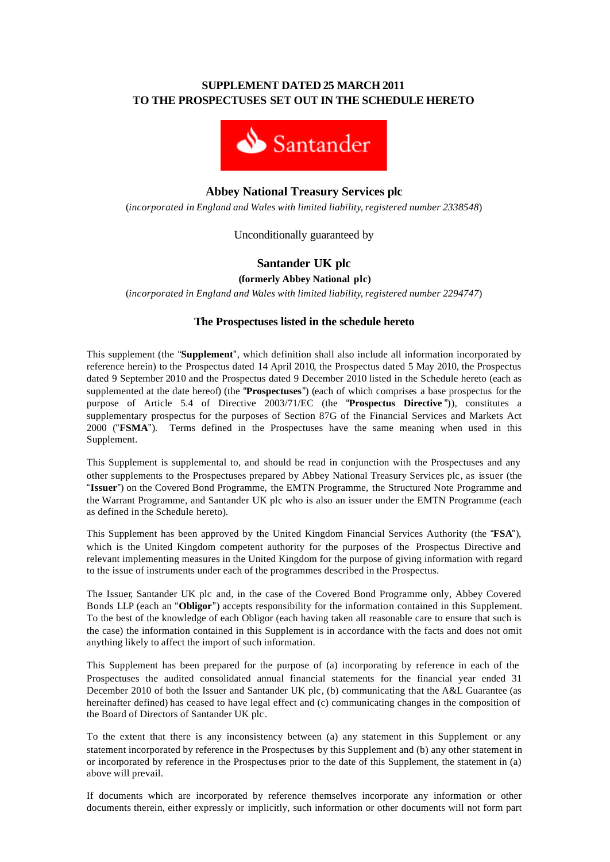## **SUPPLEMENT DATED 25 MARCH 2011 TO THE PROSPECTUSES SET OUT IN THE SCHEDULE HERETO**



# **Abbey National Treasury Services plc**

(*incorporated in England and Wales with limited liability, registered number 2338548*)

Unconditionally guaranteed by

# **Santander UK plc**

**(formerly Abbey National plc)**

(*incorporated in England and Wales with limited liability, registered number 2294747*)

## **The Prospectuses listed in the schedule hereto**

This supplement (the "**Supplement**", which definition shall also include all information incorporated by reference herein) to the Prospectus dated 14 April 2010, the Prospectus dated 5 May 2010, the Prospectus dated 9 September 2010 and the Prospectus dated 9 December 2010 listed in the Schedule hereto (each as supplemented at the date hereof) (the "**Prospectuses**") (each of which comprises a base prospectus for the purpose of Article 5.4 of Directive 2003/71/EC (the "**Prospectus Directive** ")), constitutes a supplementary prospectus for the purposes of Section 87G of the Financial Services and Markets Act 2000 ("**FSMA**"). Terms defined in the Prospectuses have the same meaning when used in this Supplement.

This Supplement is supplemental to, and should be read in conjunction with the Prospectuses and any other supplements to the Prospectuses prepared by Abbey National Treasury Services plc, as issuer (the "**Issuer**") on the Covered Bond Programme, the EMTN Programme, the Structured Note Programme and the Warrant Programme, and Santander UK plc who is also an issuer under the EMTN Programme (each as defined in the Schedule hereto).

This Supplement has been approved by the United Kingdom Financial Services Authority (the "**FSA**"), which is the United Kingdom competent authority for the purposes of the Prospectus Directive and relevant implementing measures in the United Kingdom for the purpose of giving information with regard to the issue of instruments under each of the programmes described in the Prospectus.

The Issuer, Santander UK plc and, in the case of the Covered Bond Programme only, Abbey Covered Bonds LLP (each an "**Obligor**") accepts responsibility for the information contained in this Supplement. To the best of the knowledge of each Obligor (each having taken all reasonable care to ensure that such is the case) the information contained in this Supplement is in accordance with the facts and does not omit anything likely to affect the import of such information.

This Supplement has been prepared for the purpose of (a) incorporating by reference in each of the Prospectuses the audited consolidated annual financial statements for the financial year ended 31 December 2010 of both the Issuer and Santander UK plc, (b) communicating that the A&L Guarantee (as hereinafter defined) has ceased to have legal effect and (c) communicating changes in the composition of the Board of Directors of Santander UK plc.

To the extent that there is any inconsistency between (a) any statement in this Supplement or any statement incorporated by reference in the Prospectuses by this Supplement and (b) any other statement in or incorporated by reference in the Prospectuses prior to the date of this Supplement, the statement in (a) above will prevail.

If documents which are incorporated by reference themselves incorporate any information or other documents therein, either expressly or implicitly, such information or other documents will not form part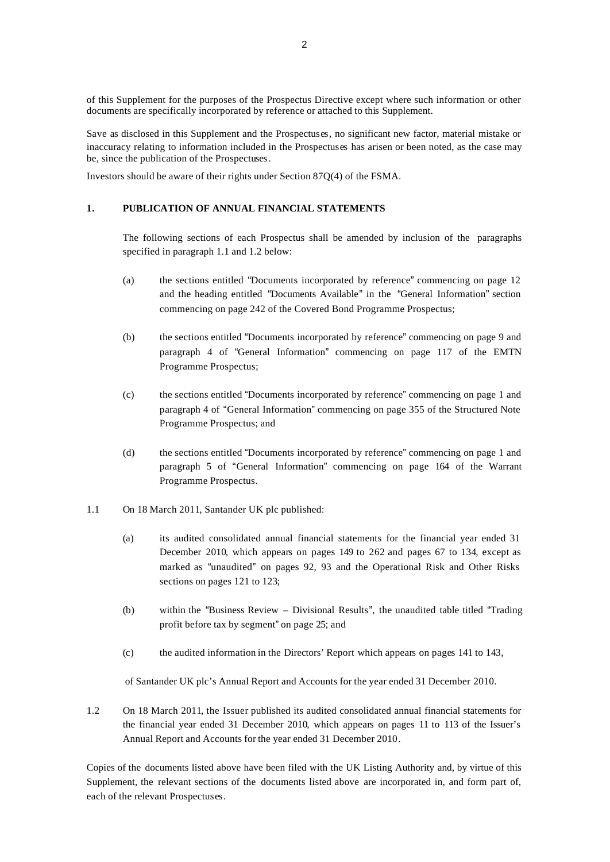of this Supplement for the purposes of the Prospectus Directive except where such information or other documents are specifically incorporated by reference or attached to this Supplement.

Save as disclosed in this Supplement and the Prospectuses, no significant new factor, material mistake or inaccuracy relating to information included in the Prospectuses has arisen or been noted, as the case may be, since the publication of the Prospectuses.

Investors should be aware of their rights under Section 87Q(4) of the FSMA.

## **1. PUBLICATION OF ANNUAL FINANCIAL STATEMENTS**

The following sections of each Prospectus shall be amended by inclusion of the paragraphs specified in paragraph 1.1 and 1.2 below:

- (a) the sections entitled "Documents incorporated by reference" commencing on page 12 and the heading entitled "Documents Available" in the "General Information" section commencing on page 242 of the Covered Bond Programme Prospectus;
- (b) the sections entitled "Documents incorporated by reference" commencing on page 9 and paragraph 4 of "General Information" commencing on page 117 of the EMTN Programme Prospectus;
- (c) the sections entitled "Documents incorporated by reference" commencing on page 1 and paragraph 4 of "General Information" commencing on page 355 of the Structured Note Programme Prospectus; and
- (d) the sections entitled "Documents incorporated by reference" commencing on page 1 and paragraph 5 of "General Information" commencing on page 164 of the Warrant Programme Prospectus.
- 1.1 On 18 March 2011, Santander UK plc published:
	- (a) its audited consolidated annual financial statements for the financial year ended 31 December 2010, which appears on pages 149 to 262 and pages 67 to 134, except as marked as "unaudited" on pages 92, 93 and the Operational Risk and Other Risks sections on pages 121 to 123;
	- (b) within the "Business Review Divisional Results", the unaudited table titled "Trading profit before tax by segment" on page 25; and
	- (c) the audited information in the Directors' Report which appears on pages 141 to 143,

of Santander UK plc's Annual Report and Accounts for the year ended 31 December 2010.

1.2 On 18 March 2011, the Issuer published its audited consolidated annual financial statements for the financial year ended 31 December 2010, which appears on pages 11 to 113 of the Issuer's Annual Report and Accounts for the year ended 31 December 2010.

Copies of the documents listed above have been filed with the UK Listing Authority and, by virtue of this Supplement, the relevant sections of the documents listed above are incorporated in, and form part of, each of the relevant Prospectuses.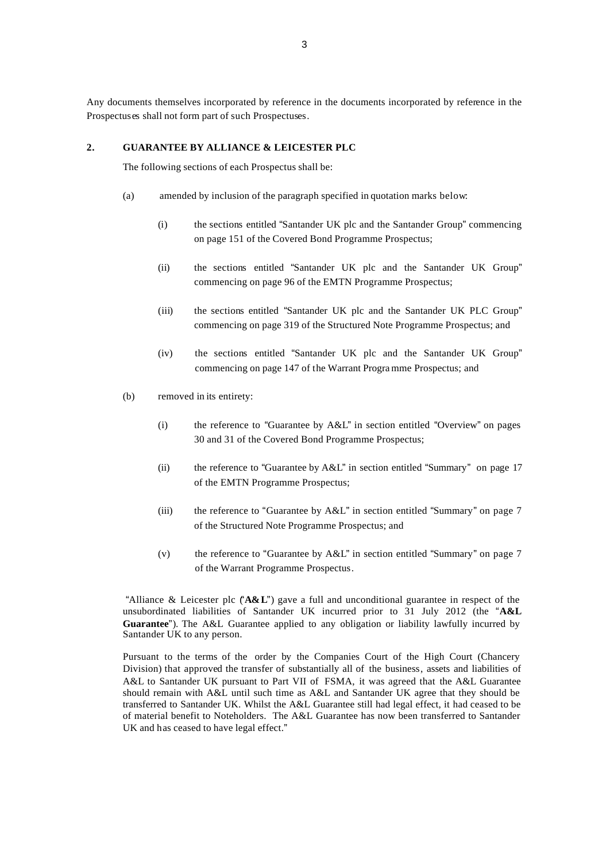Any documents themselves incorporated by reference in the documents incorporated by reference in the Prospectuses shall not form part of such Prospectuses.

## **2. GUARANTEE BY ALLIANCE & LEICESTER PLC**

The following sections of each Prospectus shall be:

- (a) amended by inclusion of the paragraph specified in quotation marks below:
	- (i) the sections entitled "Santander UK plc and the Santander Group" commencing on page 151 of the Covered Bond Programme Prospectus;
	- (ii) the sections entitled "Santander UK plc and the Santander UK Group" commencing on page 96 of the EMTN Programme Prospectus;
	- (iii) the sections entitled "Santander UK plc and the Santander UK PLC Group" commencing on page 319 of the Structured Note Programme Prospectus; and
	- (iv) the sections entitled "Santander UK plc and the Santander UK Group" commencing on page 147 of the Warrant Progra mme Prospectus; and
- (b) removed in its entirety:
	- (i) the reference to "Guarantee by A&L" in section entitled "Overview" on pages 30 and 31 of the Covered Bond Programme Prospectus;
	- (ii) the reference to "Guarantee by A&L" in section entitled "Summary" on page 17 of the EMTN Programme Prospectus;
	- (iii) the reference to "Guarantee by A&L" in section entitled "Summary" on page 7 of the Structured Note Programme Prospectus; and
	- (v) the reference to "Guarantee by A&L" in section entitled "Summary" on page 7 of the Warrant Programme Prospectus.

"Alliance & Leicester plc ("**A&L**") gave a full and unconditional guarantee in respect of the unsubordinated liabilities of Santander UK incurred prior to 31 July 2012 (the "**A&L Guarantee**"). The A&L Guarantee applied to any obligation or liability lawfully incurred by Santander UK to any person.

Pursuant to the terms of the order by the Companies Court of the High Court (Chancery Division) that approved the transfer of substantially all of the business, assets and liabilities of A&L to Santander UK pursuant to Part VII of FSMA, it was agreed that the A&L Guarantee should remain with A&L until such time as A&L and Santander UK agree that they should be transferred to Santander UK. Whilst the A&L Guarantee still had legal effect, it had ceased to be of material benefit to Noteholders. The A&L Guarantee has now been transferred to Santander UK and has ceased to have legal effect."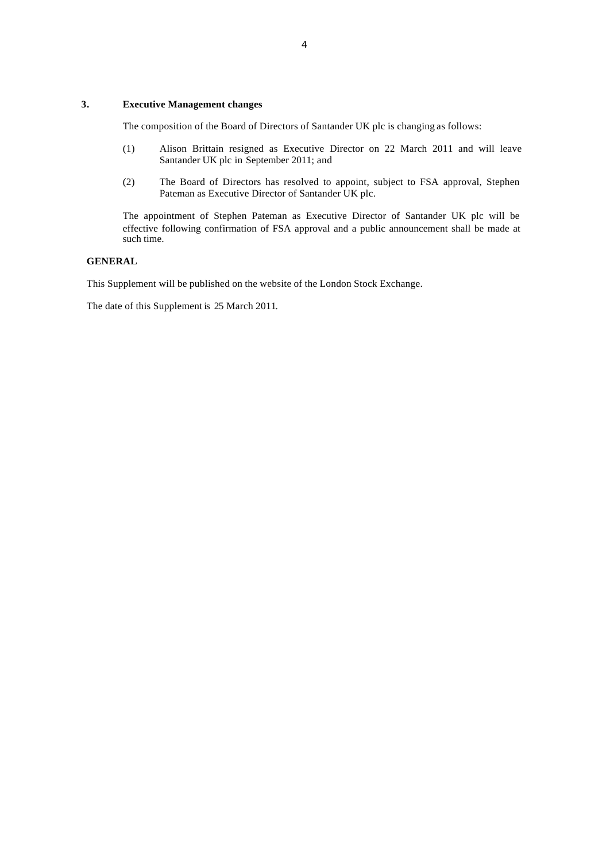#### **3. Executive Management changes**

The composition of the Board of Directors of Santander UK plc is changing as follows:

- (1) Alison Brittain resigned as Executive Director on 22 March 2011 and will leave Santander UK plc in September 2011; and
- (2) The Board of Directors has resolved to appoint, subject to FSA approval, Stephen Pateman as Executive Director of Santander UK plc.

The appointment of Stephen Pateman as Executive Director of Santander UK plc will be effective following confirmation of FSA approval and a public announcement shall be made at such time.

#### **GENERAL**

This Supplement will be published on the website of the London Stock Exchange.

The date of this Supplement is 25 March 2011.